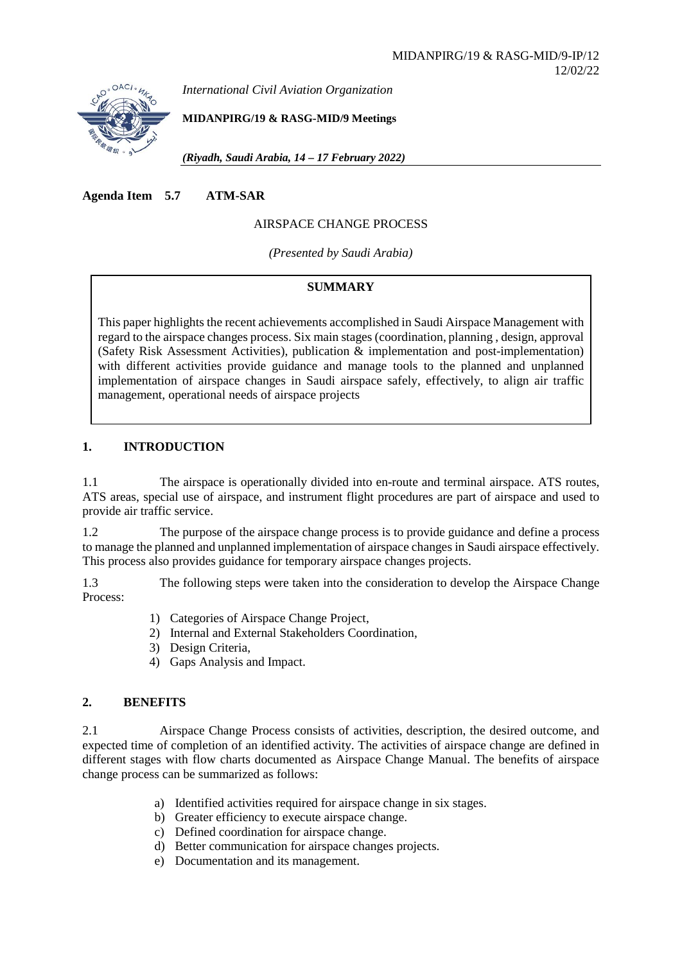

*International Civil Aviation Organization*

**MIDANPIRG/19 & RASG-MID/9 Meetings** 

*(Riyadh, Saudi Arabia, 14 – 17 February 2022)*

**Agenda Item 5.7 ATM-SAR**

# AIRSPACE CHANGE PROCESS

*(Presented by Saudi Arabia)*

### **SUMMARY**

This paper highlights the recent achievements accomplished in Saudi Airspace Management with regard to the airspace changes process. Six main stages (coordination, planning , design, approval (Safety Risk Assessment Activities), publication & implementation and post-implementation) with different activities provide guidance and manage tools to the planned and unplanned implementation of airspace changes in Saudi airspace safely, effectively, to align air traffic management, operational needs of airspace projects

### **1. INTRODUCTION**

1.1 The airspace is operationally divided into en-route and terminal airspace. ATS routes, ATS areas, special use of airspace, and instrument flight procedures are part of airspace and used to provide air traffic service.

1.2 The purpose of the airspace change process is to provide guidance and define a process to manage the planned and unplanned implementation of airspace changes in Saudi airspace effectively. This process also provides guidance for temporary airspace changes projects.

1.3 The following steps were taken into the consideration to develop the Airspace Change Process:

- 1) Categories of Airspace Change Project,
- 2) Internal and External Stakeholders Coordination,
- 3) Design Criteria,
- 4) Gaps Analysis and Impact.

# **2. BENEFITS**

2.1 Airspace Change Process consists of activities, description, the desired outcome, and expected time of completion of an identified activity. The activities of airspace change are defined in different stages with flow charts documented as Airspace Change Manual. The benefits of airspace change process can be summarized as follows:

- a) Identified activities required for airspace change in six stages.
- b) Greater efficiency to execute airspace change.
- c) Defined coordination for airspace change.
- d) Better communication for airspace changes projects.
- e) Documentation and its management.